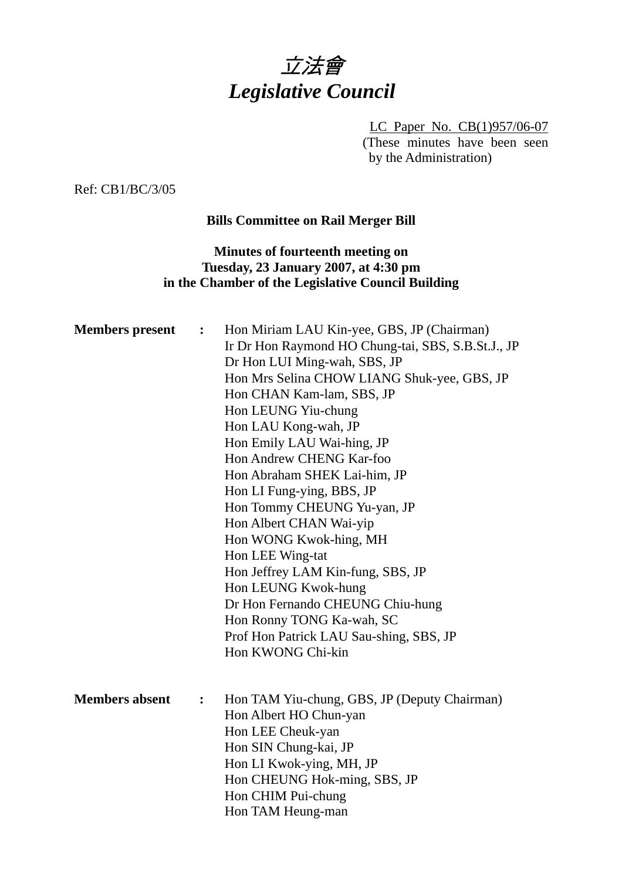

LC Paper No. CB(1)957/06-07 (These minutes have been seen by the Administration)

Ref: CB1/BC/3/05

## **Bills Committee on Rail Merger Bill**

## **Minutes of fourteenth meeting on Tuesday, 23 January 2007, at 4:30 pm in the Chamber of the Legislative Council Building**

| <b>Members</b> present | $\ddot{\cdot}$ | Hon Miriam LAU Kin-yee, GBS, JP (Chairman)<br>Ir Dr Hon Raymond HO Chung-tai, SBS, S.B.St.J., JP<br>Dr Hon LUI Ming-wah, SBS, JP<br>Hon Mrs Selina CHOW LIANG Shuk-yee, GBS, JP<br>Hon CHAN Kam-lam, SBS, JP<br>Hon LEUNG Yiu-chung<br>Hon LAU Kong-wah, JP<br>Hon Emily LAU Wai-hing, JP<br>Hon Andrew CHENG Kar-foo<br>Hon Abraham SHEK Lai-him, JP<br>Hon LI Fung-ying, BBS, JP<br>Hon Tommy CHEUNG Yu-yan, JP<br>Hon Albert CHAN Wai-yip<br>Hon WONG Kwok-hing, MH<br>Hon LEE Wing-tat<br>Hon Jeffrey LAM Kin-fung, SBS, JP<br>Hon LEUNG Kwok-hung<br>Dr Hon Fernando CHEUNG Chiu-hung<br>Hon Ronny TONG Ka-wah, SC<br>Prof Hon Patrick LAU Sau-shing, SBS, JP<br>Hon KWONG Chi-kin |
|------------------------|----------------|-----------------------------------------------------------------------------------------------------------------------------------------------------------------------------------------------------------------------------------------------------------------------------------------------------------------------------------------------------------------------------------------------------------------------------------------------------------------------------------------------------------------------------------------------------------------------------------------------------------------------------------------------------------------------------------------|
| <b>Members absent</b>  | $\ddot{\cdot}$ | Hon TAM Yiu-chung, GBS, JP (Deputy Chairman)<br>Hon Albert HO Chun-yan<br>Hon LEE Cheuk-yan<br>Hon SIN Chung-kai, JP<br>Hon LI Kwok-ying, MH, JP<br>Hon CHEUNG Hok-ming, SBS, JP<br>Hon CHIM Pui-chung<br>Hon TAM Heung-man                                                                                                                                                                                                                                                                                                                                                                                                                                                             |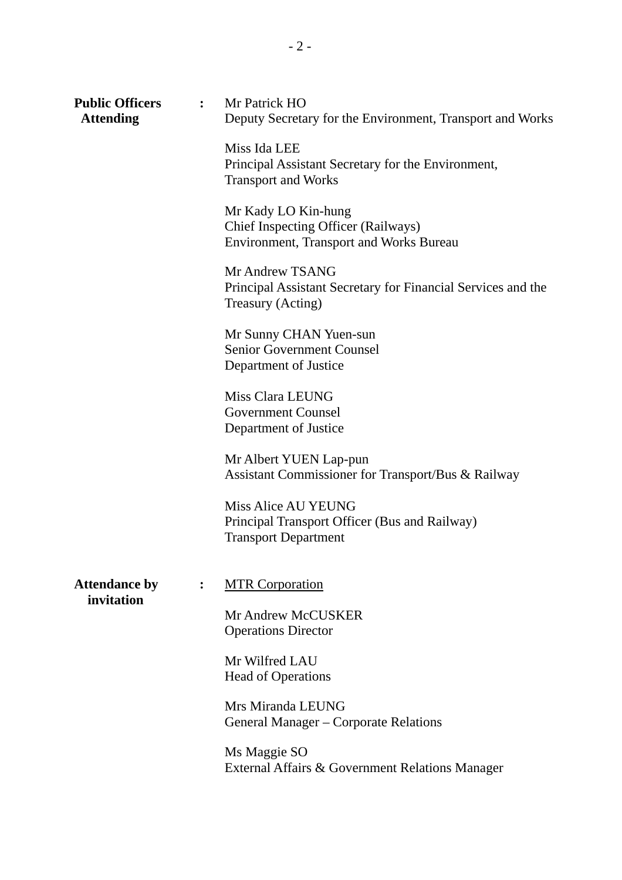| <b>Public Officers</b><br><b>Attending</b> |                | : Mr Patrick HO<br>Deputy Secretary for the Environment, Transport and Works                                 |
|--------------------------------------------|----------------|--------------------------------------------------------------------------------------------------------------|
|                                            |                | Miss Ida LEE<br>Principal Assistant Secretary for the Environment,<br><b>Transport and Works</b>             |
|                                            |                | Mr Kady LO Kin-hung<br>Chief Inspecting Officer (Railways)<br><b>Environment, Transport and Works Bureau</b> |
|                                            |                | Mr Andrew TSANG<br>Principal Assistant Secretary for Financial Services and the<br>Treasury (Acting)         |
|                                            |                | Mr Sunny CHAN Yuen-sun<br><b>Senior Government Counsel</b><br>Department of Justice                          |
|                                            |                | Miss Clara LEUNG<br><b>Government Counsel</b><br>Department of Justice                                       |
|                                            |                | Mr Albert YUEN Lap-pun<br>Assistant Commissioner for Transport/Bus & Railway                                 |
|                                            |                | <b>Miss Alice AU YEUNG</b><br>Principal Transport Officer (Bus and Railway)<br><b>Transport Department</b>   |
| <b>Attendance by</b><br>invitation         | $\ddot{\cdot}$ | <b>MTR Corporation</b>                                                                                       |
|                                            |                | Mr Andrew McCUSKER<br><b>Operations Director</b>                                                             |
|                                            |                | Mr Wilfred LAU<br><b>Head of Operations</b>                                                                  |
|                                            |                | Mrs Miranda LEUNG<br>General Manager – Corporate Relations                                                   |
|                                            |                | Ms Maggie SO<br>External Affairs & Government Relations Manager                                              |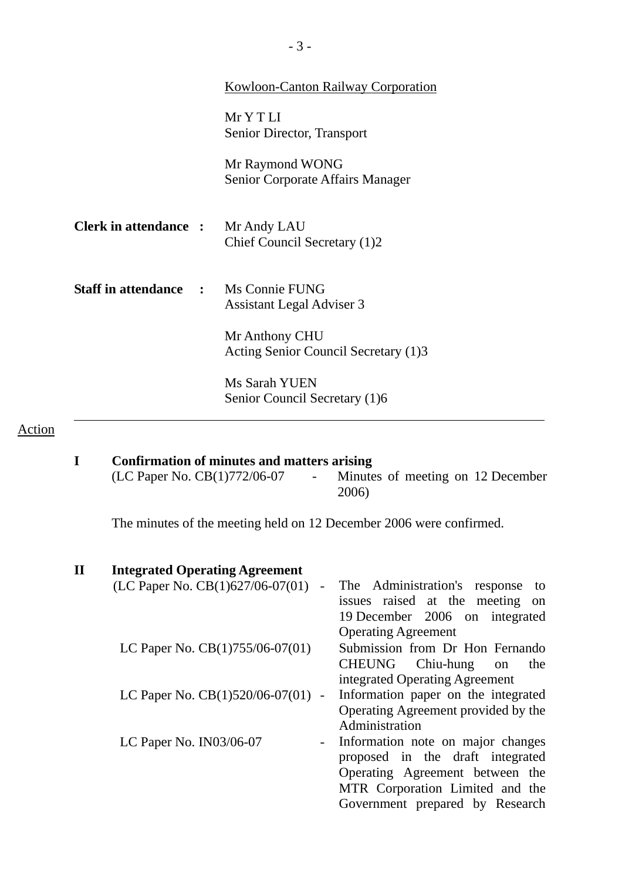|                                             | <b>Kowloon-Canton Railway Corporation</b>              |
|---------------------------------------------|--------------------------------------------------------|
|                                             | MrYTLI<br>Senior Director, Transport                   |
|                                             | Mr Raymond WONG<br>Senior Corporate Affairs Manager    |
| <b>Clerk in attendance : Mr Andy LAU</b>    | Chief Council Secretary (1)2                           |
| <b>Staff in attendance : Ms Connie FUNG</b> | <b>Assistant Legal Adviser 3</b>                       |
|                                             | Mr Anthony CHU<br>Acting Senior Council Secretary (1)3 |
|                                             | Ms Sarah YUEN<br>Senior Council Secretary (1)6         |

# Action

**I** Confirmation of minutes and matters arising (LC Paper No. CB(1)772/06-07 - Minute - Minutes of meeting on 12 December 2006)

The minutes of the meeting held on 12 December 2006 were confirmed.

# **II Integrated Operating Agreement**

| The Administration's response<br>to<br>$\overline{\phantom{a}}$            |
|----------------------------------------------------------------------------|
| issues raised at the meeting<br>on                                         |
| 19 December 2006 on integrated                                             |
| <b>Operating Agreement</b>                                                 |
| Submission from Dr Hon Fernando                                            |
| CHEUNG Chiu-hung<br>the<br><sub>on</sub>                                   |
| integrated Operating Agreement                                             |
| Information paper on the integrated<br>LC Paper No. $CB(1)520/06-07(01)$ - |
| Operating Agreement provided by the                                        |
| Administration                                                             |
| Information note on major changes                                          |
| proposed in the draft integrated                                           |
| Operating Agreement between the                                            |
| MTR Corporation Limited and the                                            |
| Government prepared by Research                                            |
|                                                                            |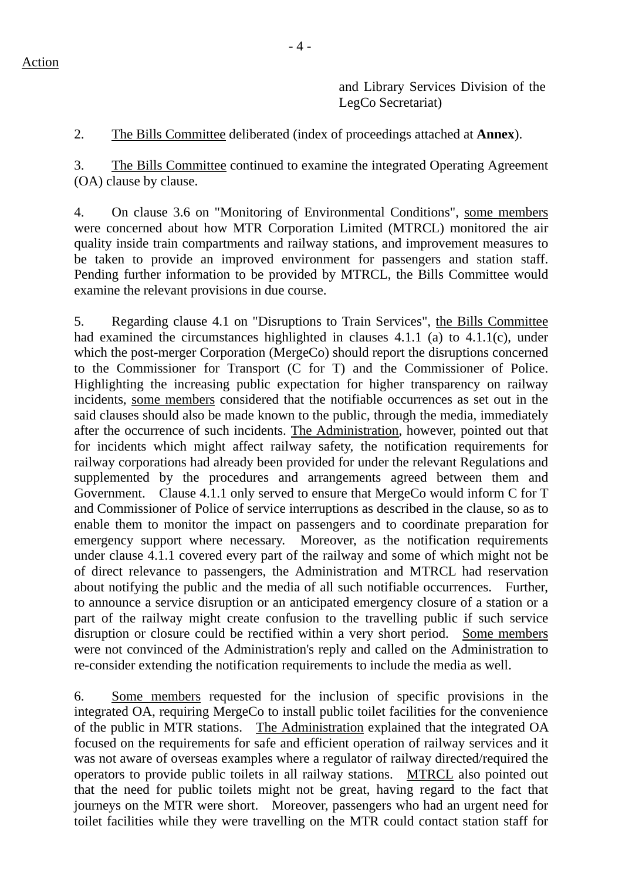and Library Services Division of the LegCo Secretariat)

2. The Bills Committee deliberated (index of proceedings attached at **Annex**).

3. The Bills Committee continued to examine the integrated Operating Agreement (OA) clause by clause.

4. On clause 3.6 on "Monitoring of Environmental Conditions", some members were concerned about how MTR Corporation Limited (MTRCL) monitored the air quality inside train compartments and railway stations, and improvement measures to be taken to provide an improved environment for passengers and station staff. Pending further information to be provided by MTRCL, the Bills Committee would examine the relevant provisions in due course.

5. Regarding clause 4.1 on "Disruptions to Train Services", the Bills Committee had examined the circumstances highlighted in clauses 4.1.1 (a) to 4.1.1(c), under which the post-merger Corporation (MergeCo) should report the disruptions concerned to the Commissioner for Transport (C for T) and the Commissioner of Police. Highlighting the increasing public expectation for higher transparency on railway incidents, some members considered that the notifiable occurrences as set out in the said clauses should also be made known to the public, through the media, immediately after the occurrence of such incidents. The Administration, however, pointed out that for incidents which might affect railway safety, the notification requirements for railway corporations had already been provided for under the relevant Regulations and supplemented by the procedures and arrangements agreed between them and Government. Clause 4.1.1 only served to ensure that MergeCo would inform C for T and Commissioner of Police of service interruptions as described in the clause, so as to enable them to monitor the impact on passengers and to coordinate preparation for emergency support where necessary. Moreover, as the notification requirements under clause 4.1.1 covered every part of the railway and some of which might not be of direct relevance to passengers, the Administration and MTRCL had reservation about notifying the public and the media of all such notifiable occurrences. Further, to announce a service disruption or an anticipated emergency closure of a station or a part of the railway might create confusion to the travelling public if such service disruption or closure could be rectified within a very short period. Some members were not convinced of the Administration's reply and called on the Administration to re-consider extending the notification requirements to include the media as well.

6. Some members requested for the inclusion of specific provisions in the integrated OA, requiring MergeCo to install public toilet facilities for the convenience of the public in MTR stations. The Administration explained that the integrated OA focused on the requirements for safe and efficient operation of railway services and it was not aware of overseas examples where a regulator of railway directed/required the operators to provide public toilets in all railway stations. MTRCL also pointed out that the need for public toilets might not be great, having regard to the fact that journeys on the MTR were short. Moreover, passengers who had an urgent need for toilet facilities while they were travelling on the MTR could contact station staff for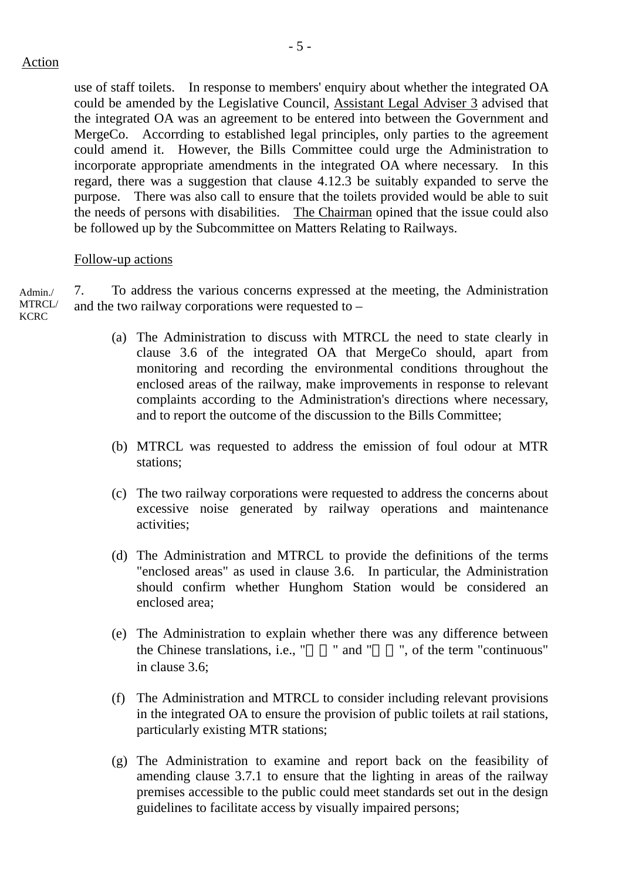use of staff toilets. In response to members' enquiry about whether the integrated OA could be amended by the Legislative Council, Assistant Legal Adviser 3 advised that the integrated OA was an agreement to be entered into between the Government and MergeCo. Accorrding to established legal principles, only parties to the agreement could amend it. However, the Bills Committee could urge the Administration to incorporate appropriate amendments in the integrated OA where necessary. In this regard, there was a suggestion that clause 4.12.3 be suitably expanded to serve the purpose. There was also call to ensure that the toilets provided would be able to suit the needs of persons with disabilities. The Chairman opined that the issue could also be followed up by the Subcommittee on Matters Relating to Railways.

#### Follow-up actions

7. To address the various concerns expressed at the meeting, the Administration and the two railway corporations were requested to – Admin./ MTRCL/ **KCRC** 

- (a) The Administration to discuss with MTRCL the need to state clearly in clause 3.6 of the integrated OA that MergeCo should, apart from monitoring and recording the environmental conditions throughout the enclosed areas of the railway, make improvements in response to relevant complaints according to the Administration's directions where necessary, and to report the outcome of the discussion to the Bills Committee;
- (b) MTRCL was requested to address the emission of foul odour at MTR stations;
- (c) The two railway corporations were requested to address the concerns about excessive noise generated by railway operations and maintenance activities;
- (d) The Administration and MTRCL to provide the definitions of the terms "enclosed areas" as used in clause 3.6. In particular, the Administration should confirm whether Hunghom Station would be considered an enclosed area;
- (e) The Administration to explain whether there was any difference between the Chinese translations, i.e., "" and "", of the term "continuous" in clause 3.6;
- (f) The Administration and MTRCL to consider including relevant provisions in the integrated OA to ensure the provision of public toilets at rail stations, particularly existing MTR stations;
- (g) The Administration to examine and report back on the feasibility of amending clause 3.7.1 to ensure that the lighting in areas of the railway premises accessible to the public could meet standards set out in the design guidelines to facilitate access by visually impaired persons;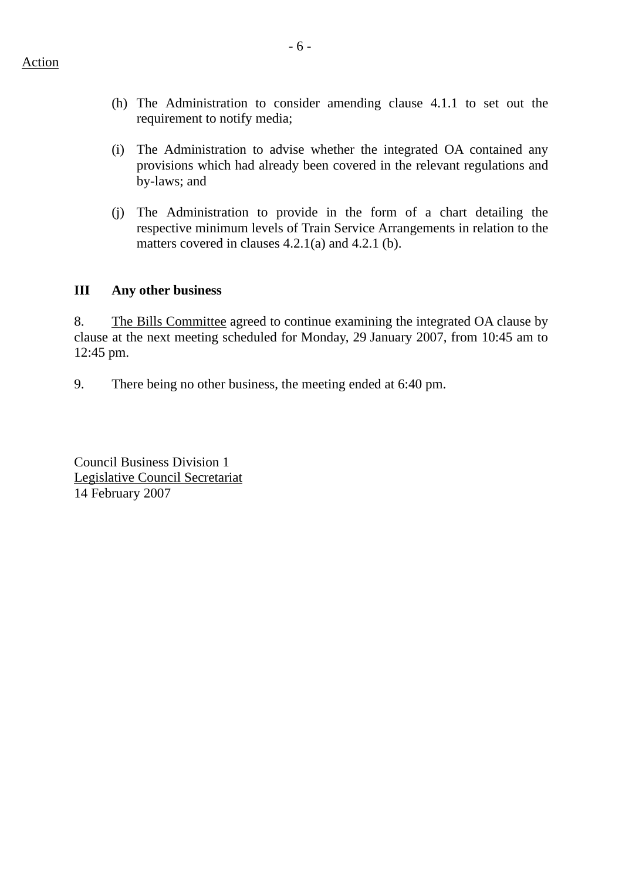- (h) The Administration to consider amending clause 4.1.1 to set out the requirement to notify media;
- (i) The Administration to advise whether the integrated OA contained any provisions which had already been covered in the relevant regulations and by-laws; and
- (j) The Administration to provide in the form of a chart detailing the respective minimum levels of Train Service Arrangements in relation to the matters covered in clauses 4.2.1(a) and 4.2.1 (b).

## **III Any other business**

8. The Bills Committee agreed to continue examining the integrated OA clause by clause at the next meeting scheduled for Monday, 29 January 2007, from 10:45 am to 12:45 pm.

9. There being no other business, the meeting ended at 6:40 pm.

Council Business Division 1 Legislative Council Secretariat 14 February 2007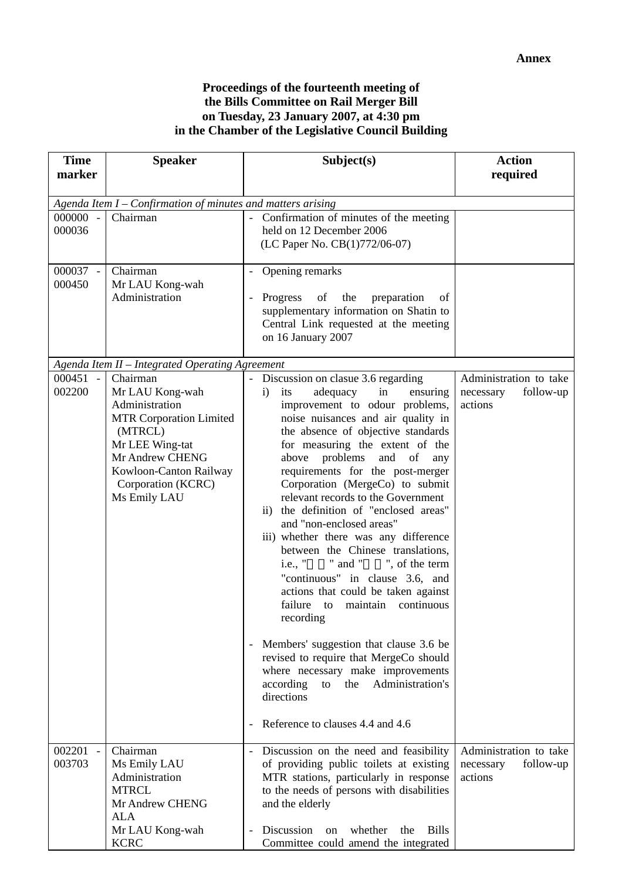### **Proceedings of the fourteenth meeting of the Bills Committee on Rail Merger Bill on Tuesday, 23 January 2007, at 4:30 pm in the Chamber of the Legislative Council Building**

| <b>Time</b>                        | <b>Speaker</b>                                                                                                                                                                                   | Subject(s)                                                                                                                                                                                                                                                                                                                                                                                                                                                                                                                                                                                                                                                                                                                                                                                                                                                                                                                                                                         | <b>Action</b>                                               |  |
|------------------------------------|--------------------------------------------------------------------------------------------------------------------------------------------------------------------------------------------------|------------------------------------------------------------------------------------------------------------------------------------------------------------------------------------------------------------------------------------------------------------------------------------------------------------------------------------------------------------------------------------------------------------------------------------------------------------------------------------------------------------------------------------------------------------------------------------------------------------------------------------------------------------------------------------------------------------------------------------------------------------------------------------------------------------------------------------------------------------------------------------------------------------------------------------------------------------------------------------|-------------------------------------------------------------|--|
| marker                             |                                                                                                                                                                                                  |                                                                                                                                                                                                                                                                                                                                                                                                                                                                                                                                                                                                                                                                                                                                                                                                                                                                                                                                                                                    | required                                                    |  |
|                                    | Agenda Item I - Confirmation of minutes and matters arising                                                                                                                                      |                                                                                                                                                                                                                                                                                                                                                                                                                                                                                                                                                                                                                                                                                                                                                                                                                                                                                                                                                                                    |                                                             |  |
| 000000 -<br>000036                 | Chairman                                                                                                                                                                                         | Confirmation of minutes of the meeting<br>held on 12 December 2006<br>(LC Paper No. CB(1)772/06-07)                                                                                                                                                                                                                                                                                                                                                                                                                                                                                                                                                                                                                                                                                                                                                                                                                                                                                |                                                             |  |
| 000037 -<br>000450                 | Chairman<br>Mr LAU Kong-wah<br>Administration                                                                                                                                                    | Opening remarks<br>the<br>Progress<br>of<br>preparation<br>of<br>supplementary information on Shatin to<br>Central Link requested at the meeting<br>on 16 January 2007                                                                                                                                                                                                                                                                                                                                                                                                                                                                                                                                                                                                                                                                                                                                                                                                             |                                                             |  |
|                                    | Agenda Item II - Integrated Operating Agreement                                                                                                                                                  |                                                                                                                                                                                                                                                                                                                                                                                                                                                                                                                                                                                                                                                                                                                                                                                                                                                                                                                                                                                    |                                                             |  |
| 000451<br>$\overline{a}$<br>002200 | Chairman<br>Mr LAU Kong-wah<br>Administration<br><b>MTR Corporation Limited</b><br>(MTRCL)<br>Mr LEE Wing-tat<br>Mr Andrew CHENG<br>Kowloon-Canton Railway<br>Corporation (KCRC)<br>Ms Emily LAU | Discussion on clasue 3.6 regarding<br>its<br>adequacy<br>$\mathbf{i}$<br>in<br>ensuring<br>improvement to odour problems,<br>noise nuisances and air quality in<br>the absence of objective standards<br>for measuring the extent of the<br>above problems and of<br>any<br>requirements for the post-merger<br>Corporation (MergeCo) to submit<br>relevant records to the Government<br>the definition of "enclosed areas"<br>$\mathbf{ii}$<br>and "non-enclosed areas"<br>iii) whether there was any difference<br>between the Chinese translations,<br>" and " ", of the term<br>i.e., "<br>"continuous" in clause 3.6, and<br>actions that could be taken against<br>failure<br>continuous<br>maintain<br>to<br>recording<br>Members' suggestion that clause 3.6 be<br>revised to require that MergeCo should<br>where necessary make improvements<br>according<br>Administration's<br>the<br>to<br>directions<br>Reference to clauses 4.4 and 4.6<br>$\overline{\phantom{a}}$ | Administration to take<br>follow-up<br>necessary<br>actions |  |
| 002201<br>003703                   | Chairman<br>Ms Emily LAU<br>Administration<br><b>MTRCL</b><br>Mr Andrew CHENG<br><b>ALA</b><br>Mr LAU Kong-wah<br><b>KCRC</b>                                                                    | Discussion on the need and feasibility<br>of providing public toilets at existing<br>MTR stations, particularly in response<br>to the needs of persons with disabilities<br>and the elderly<br>Discussion<br>whether<br><b>Bills</b><br>on<br>the<br>Committee could amend the integrated                                                                                                                                                                                                                                                                                                                                                                                                                                                                                                                                                                                                                                                                                          | Administration to take<br>follow-up<br>necessary<br>actions |  |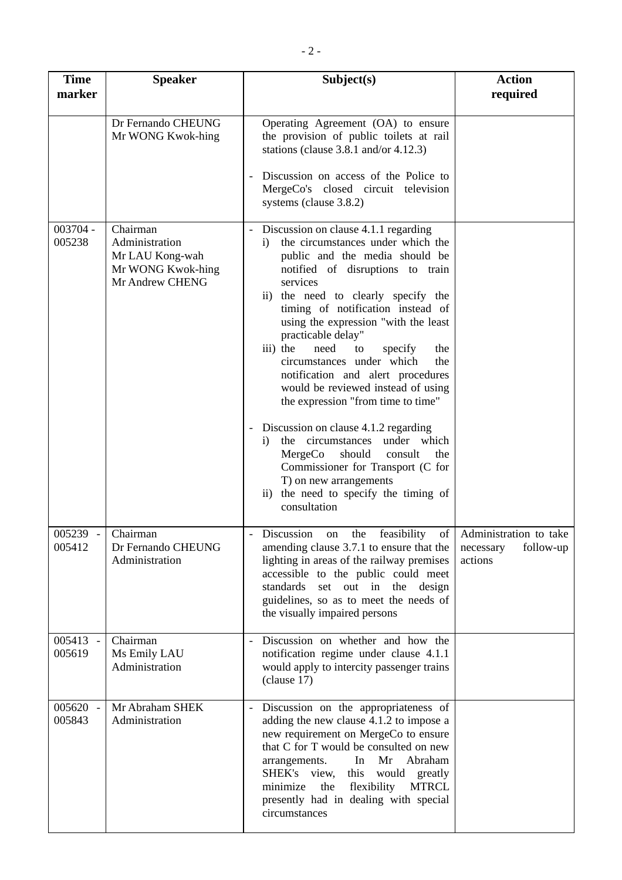| <b>Time</b><br>marker | <b>Speaker</b>                                                                        | Subject(s)                                                                                                                                                                                                                                                                                                                                                                                                                                                                                                                                                                                                                                                                                                                                                                                     | <b>Action</b><br>required         |
|-----------------------|---------------------------------------------------------------------------------------|------------------------------------------------------------------------------------------------------------------------------------------------------------------------------------------------------------------------------------------------------------------------------------------------------------------------------------------------------------------------------------------------------------------------------------------------------------------------------------------------------------------------------------------------------------------------------------------------------------------------------------------------------------------------------------------------------------------------------------------------------------------------------------------------|-----------------------------------|
|                       | Dr Fernando CHEUNG<br>Mr WONG Kwok-hing                                               | Operating Agreement (OA) to ensure<br>the provision of public toilets at rail<br>stations (clause $3.8.1$ and/or $4.12.3$ )<br>Discussion on access of the Police to<br>MergeCo's closed circuit television<br>systems (clause 3.8.2)                                                                                                                                                                                                                                                                                                                                                                                                                                                                                                                                                          |                                   |
| 003704 -<br>005238    | Chairman<br>Administration<br>Mr LAU Kong-wah<br>Mr WONG Kwok-hing<br>Mr Andrew CHENG | Discussion on clause 4.1.1 regarding<br>$\overline{\phantom{a}}$<br>the circumstances under which the<br>$\ddot{1}$<br>public and the media should be<br>notified of disruptions to train<br>services<br>ii) the need to clearly specify the<br>timing of notification instead of<br>using the expression "with the least<br>practicable delay"<br>iii) the<br>need<br>specify<br>the<br>to<br>circumstances under which<br>the<br>notification and alert procedures<br>would be reviewed instead of using<br>the expression "from time to time"<br>Discussion on clause 4.1.2 regarding<br>the circumstances under which<br>i)<br>MergeCo<br>should<br>consult<br>the<br>Commissioner for Transport (C for<br>T) on new arrangements<br>ii) the need to specify the timing of<br>consultation |                                   |
| 005239<br>005412      | Chairman<br>Dr Fernando CHEUNG<br>Administration                                      | Discussion on the feasibility of Administration to take<br>amending clause 3.7.1 to ensure that the<br>lighting in areas of the railway premises<br>accessible to the public could meet<br>standards set out in the<br>design<br>guidelines, so as to meet the needs of<br>the visually impaired persons                                                                                                                                                                                                                                                                                                                                                                                                                                                                                       | follow-up<br>necessary<br>actions |
| 005413<br>005619      | Chairman<br>Ms Emily LAU<br>Administration                                            | Discussion on whether and how the<br>notification regime under clause 4.1.1<br>would apply to intercity passenger trains<br>clause 17)                                                                                                                                                                                                                                                                                                                                                                                                                                                                                                                                                                                                                                                         |                                   |
| 005620 -<br>005843    | Mr Abraham SHEK<br>Administration                                                     | Discussion on the appropriateness of<br>adding the new clause 4.1.2 to impose a<br>new requirement on MergeCo to ensure<br>that C for T would be consulted on new<br>In Mr<br>Abraham<br>arrangements.<br>SHEK's view, this<br>would greatly<br>flexibility<br><b>MTRCL</b><br>minimize<br>the<br>presently had in dealing with special<br>circumstances                                                                                                                                                                                                                                                                                                                                                                                                                                       |                                   |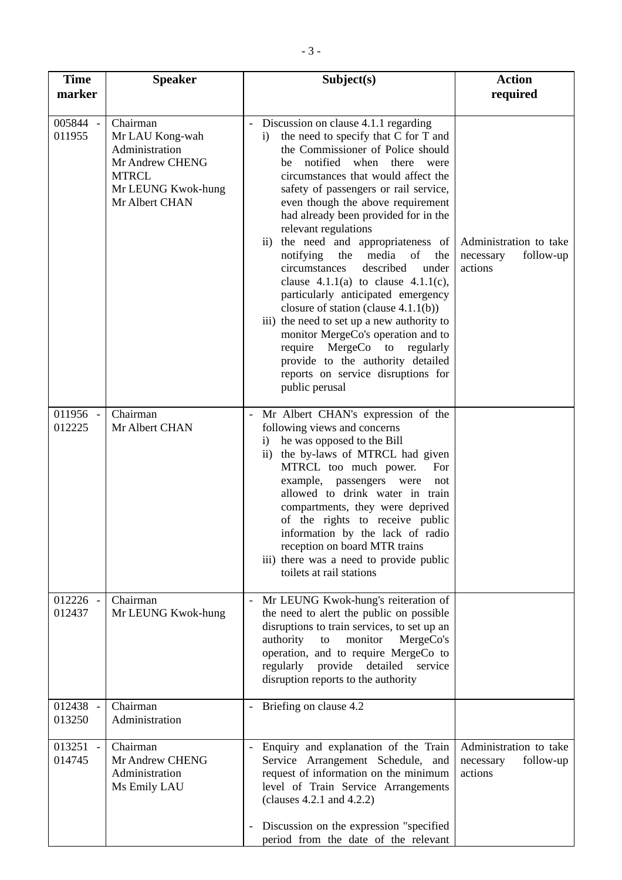| <b>Time</b><br>marker | <b>Speaker</b>                                                                                                           | Subject(s)                                                                                                                                                                                                                                                                                                                                                                                                                                                                                                                                                                                                                                                                                                                                                                                                                           | <b>Action</b><br>required                                   |
|-----------------------|--------------------------------------------------------------------------------------------------------------------------|--------------------------------------------------------------------------------------------------------------------------------------------------------------------------------------------------------------------------------------------------------------------------------------------------------------------------------------------------------------------------------------------------------------------------------------------------------------------------------------------------------------------------------------------------------------------------------------------------------------------------------------------------------------------------------------------------------------------------------------------------------------------------------------------------------------------------------------|-------------------------------------------------------------|
| 005844 -<br>011955    | Chairman<br>Mr LAU Kong-wah<br>Administration<br>Mr Andrew CHENG<br><b>MTRCL</b><br>Mr LEUNG Kwok-hung<br>Mr Albert CHAN | Discussion on clause 4.1.1 regarding<br>the need to specify that C for T and<br>$\mathbf{i}$<br>the Commissioner of Police should<br>notified when<br>there<br>were<br>be<br>circumstances that would affect the<br>safety of passengers or rail service,<br>even though the above requirement<br>had already been provided for in the<br>relevant regulations<br>ii) the need and appropriateness of<br>of<br>notifying<br>the<br>media<br>the<br>described<br>circumstances<br>under<br>clause $4.1.1(a)$ to clause $4.1.1(c)$ ,<br>particularly anticipated emergency<br>closure of station (clause $4.1.1(b)$ )<br>iii) the need to set up a new authority to<br>monitor MergeCo's operation and to<br>require MergeCo to regularly<br>provide to the authority detailed<br>reports on service disruptions for<br>public perusal | Administration to take<br>follow-up<br>necessary<br>actions |
| 011956 -<br>012225    | Chairman<br>Mr Albert CHAN                                                                                               | Mr Albert CHAN's expression of the<br>following views and concerns<br>he was opposed to the Bill<br>$\mathbf{i}$<br>ii) the by-laws of MTRCL had given<br>MTRCL too much power.<br>For<br>example, passengers were<br>not<br>allowed to drink water in train<br>compartments, they were deprived<br>of the rights to receive public<br>information by the lack of radio<br>reception on board MTR trains<br>iii) there was a need to provide public<br>toilets at rail stations                                                                                                                                                                                                                                                                                                                                                      |                                                             |
| 012226 -<br>012437    | Chairman<br>Mr LEUNG Kwok-hung                                                                                           | Mr LEUNG Kwok-hung's reiteration of<br>$\overline{\phantom{a}}$<br>the need to alert the public on possible<br>disruptions to train services, to set up an<br>authority<br>monitor<br>MergeCo's<br>to<br>operation, and to require MergeCo to<br>regularly provide detailed<br>service<br>disruption reports to the authority                                                                                                                                                                                                                                                                                                                                                                                                                                                                                                        |                                                             |
| 012438 -<br>013250    | Chairman<br>Administration                                                                                               | Briefing on clause 4.2                                                                                                                                                                                                                                                                                                                                                                                                                                                                                                                                                                                                                                                                                                                                                                                                               |                                                             |
| 013251<br>014745      | Chairman<br>Mr Andrew CHENG<br>Administration<br>Ms Emily LAU                                                            | Enquiry and explanation of the Train<br>Service Arrangement Schedule, and<br>request of information on the minimum<br>level of Train Service Arrangements<br>(clauses $4.2.1$ and $4.2.2$ )<br>Discussion on the expression "specified"<br>period from the date of the relevant                                                                                                                                                                                                                                                                                                                                                                                                                                                                                                                                                      | Administration to take<br>follow-up<br>necessary<br>actions |